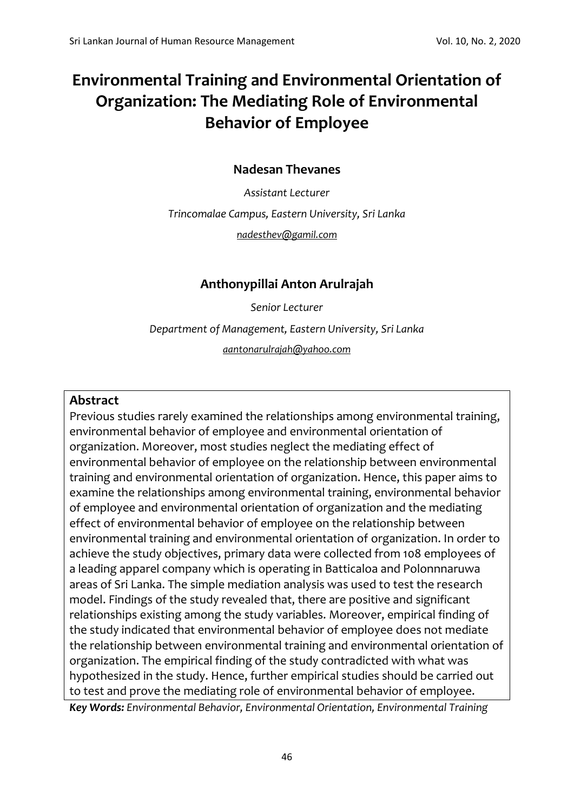# **Environmental Training and Environmental Orientation of Organization: The Mediating Role of Environmental Behavior of Employee**

# **Nadesan Thevanes**

*Assistant Lecturer*

*Trincomalae Campus, Eastern University, Sri Lanka [nadesthev@gamil.com](mailto:nadesthev@gamil.com)*

# **Anthonypillai Anton Arulrajah**

*Senior Lecturer*

*Department of Management, Eastern University, Sri Lanka*

*[aantonarulrajah@yahoo.com](mailto:aantonarulrajah@yahoo.com)*

## **Abstract**

Previous studies rarely examined the relationships among environmental training, environmental behavior of employee and environmental orientation of organization. Moreover, most studies neglect the mediating effect of environmental behavior of employee on the relationship between environmental training and environmental orientation of organization. Hence, this paper aims to examine the relationships among environmental training, environmental behavior of employee and environmental orientation of organization and the mediating effect of environmental behavior of employee on the relationship between environmental training and environmental orientation of organization. In order to achieve the study objectives, primary data were collected from 108 employees of a leading apparel company which is operating in Batticaloa and Polonnnaruwa areas of Sri Lanka. The simple mediation analysis was used to test the research model. Findings of the study revealed that, there are positive and significant relationships existing among the study variables. Moreover, empirical finding of the study indicated that environmental behavior of employee does not mediate the relationship between environmental training and environmental orientation of organization. The empirical finding of the study contradicted with what was hypothesized in the study. Hence, further empirical studies should be carried out to test and prove the mediating role of environmental behavior of employee.

*Key Words: Environmental Behavior, Environmental Orientation, Environmental Training*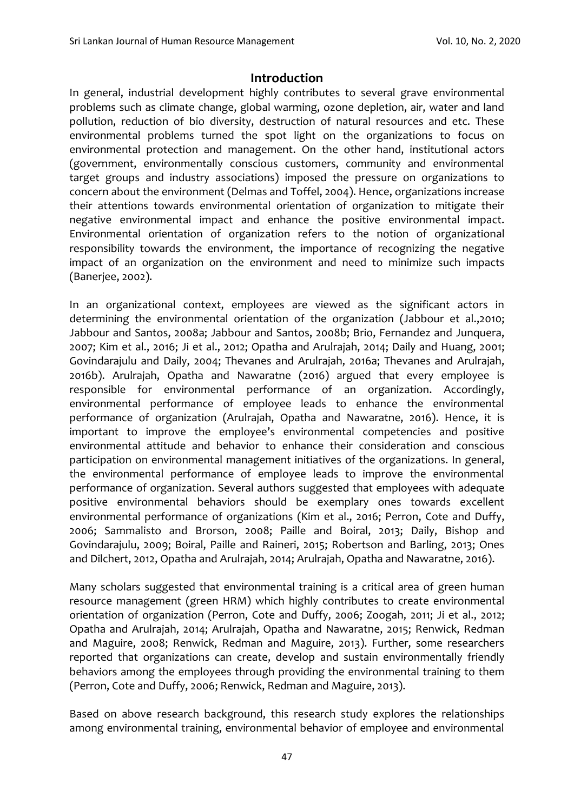## **Introduction**

In general, industrial development highly contributes to several grave environmental problems such as climate change, global warming, ozone depletion, air, water and land pollution, reduction of bio diversity, destruction of natural resources and etc. These environmental problems turned the spot light on the organizations to focus on environmental protection and management. On the other hand, institutional actors (government, environmentally conscious customers, community and environmental target groups and industry associations) imposed the pressure on organizations to concern about the environment (Delmas and Toffel, 2004). Hence, organizations increase their attentions towards environmental orientation of organization to mitigate their negative environmental impact and enhance the positive environmental impact. Environmental orientation of organization refers to the notion of organizational responsibility towards the environment, the importance of recognizing the negative impact of an organization on the environment and need to minimize such impacts (Banerjee, 2002).

In an organizational context, employees are viewed as the significant actors in determining the environmental orientation of the organization (Jabbour et al.,2010; Jabbour and Santos, 2008a; Jabbour and Santos, 2008b; Brio, Fernandez and Junquera, 2007; Kim et al., 2016; Ji et al., 2012; Opatha and Arulrajah, 2014; Daily and Huang, 2001; Govindarajulu and Daily, 2004; Thevanes and Arulrajah, 2016a; Thevanes and Arulrajah, 2016b). Arulrajah, Opatha and Nawaratne (2016) argued that every employee is responsible for environmental performance of an organization. Accordingly, environmental performance of employee leads to enhance the environmental performance of organization (Arulrajah, Opatha and Nawaratne, 2016). Hence, it is important to improve the employee's environmental competencies and positive environmental attitude and behavior to enhance their consideration and conscious participation on environmental management initiatives of the organizations. In general, the environmental performance of employee leads to improve the environmental performance of organization. Several authors suggested that employees with adequate positive environmental behaviors should be exemplary ones towards excellent environmental performance of organizations (Kim et al., 2016; Perron, Cote and Duffy, 2006; Sammalisto and Brorson, 2008; Paille and Boiral, 2013; Daily, Bishop and Govindarajulu, 2009; Boiral, Paille and Raineri, 2015; Robertson and Barling, 2013; Ones and Dilchert, 2012, Opatha and Arulrajah, 2014; Arulrajah, Opatha and Nawaratne, 2016).

Many scholars suggested that environmental training is a critical area of green human resource management (green HRM) which highly contributes to create environmental orientation of organization (Perron, Cote and Duffy, 2006; Zoogah, 2011; Ji et al., 2012; Opatha and Arulrajah, 2014; Arulrajah, Opatha and Nawaratne, 2015; Renwick, Redman and Maguire, 2008; Renwick, Redman and Maguire, 2013). Further, some researchers reported that organizations can create, develop and sustain environmentally friendly behaviors among the employees through providing the environmental training to them (Perron, Cote and Duffy, 2006; Renwick, Redman and Maguire, 2013).

Based on above research background, this research study explores the relationships among environmental training, environmental behavior of employee and environmental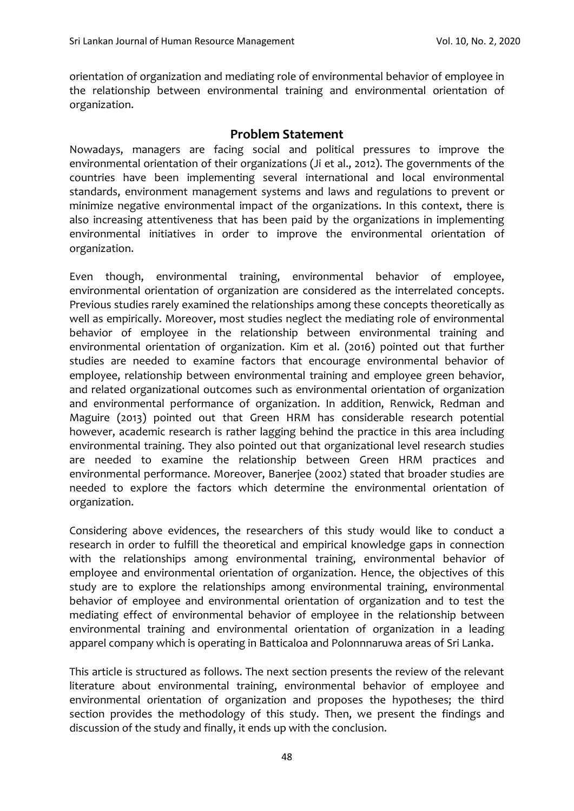orientation of organization and mediating role of environmental behavior of employee in the relationship between environmental training and environmental orientation of organization.

#### **Problem Statement**

Nowadays, managers are facing social and political pressures to improve the environmental orientation of their organizations (Ji et al., 2012). The governments of the countries have been implementing several international and local environmental standards, environment management systems and laws and regulations to prevent or minimize negative environmental impact of the organizations. In this context, there is also increasing attentiveness that has been paid by the organizations in implementing environmental initiatives in order to improve the environmental orientation of organization.

Even though, environmental training, environmental behavior of employee, environmental orientation of organization are considered as the interrelated concepts. Previous studies rarely examined the relationships among these concepts theoretically as well as empirically. Moreover, most studies neglect the mediating role of environmental behavior of employee in the relationship between environmental training and environmental orientation of organization. Kim et al. (2016) pointed out that further studies are needed to examine factors that encourage environmental behavior of employee, relationship between environmental training and employee green behavior, and related organizational outcomes such as environmental orientation of organization and environmental performance of organization. In addition, Renwick, Redman and Maguire (2013) pointed out that Green HRM has considerable research potential however, academic research is rather lagging behind the practice in this area including environmental training. They also pointed out that organizational level research studies are needed to examine the relationship between Green HRM practices and environmental performance. Moreover, Banerjee (2002) stated that broader studies are needed to explore the factors which determine the environmental orientation of organization.

Considering above evidences, the researchers of this study would like to conduct a research in order to fulfill the theoretical and empirical knowledge gaps in connection with the relationships among environmental training, environmental behavior of employee and environmental orientation of organization. Hence, the objectives of this study are to explore the relationships among environmental training, environmental behavior of employee and environmental orientation of organization and to test the mediating effect of environmental behavior of employee in the relationship between environmental training and environmental orientation of organization in a leading apparel company which is operating in Batticaloa and Polonnnaruwa areas of Sri Lanka.

This article is structured as follows. The next section presents the review of the relevant literature about environmental training, environmental behavior of employee and environmental orientation of organization and proposes the hypotheses; the third section provides the methodology of this study. Then, we present the findings and discussion of the study and finally, it ends up with the conclusion.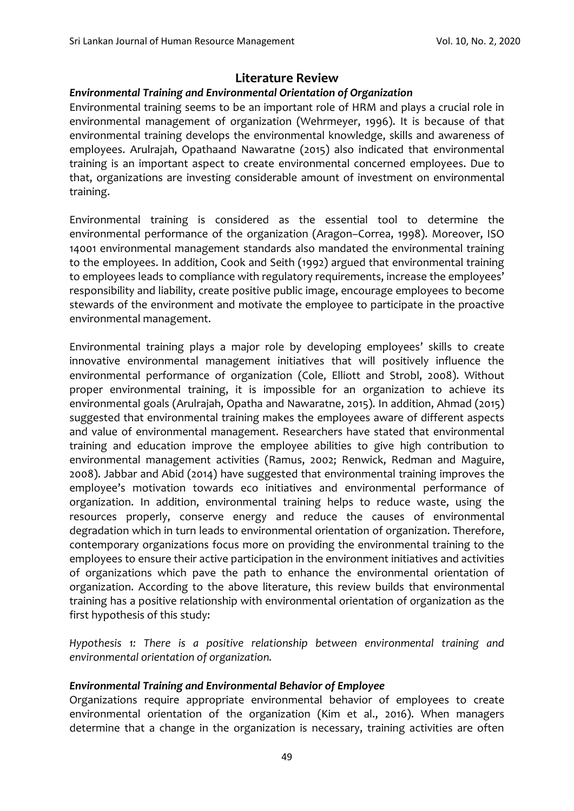# **Literature Review**

## *Environmental Training and Environmental Orientation of Organization*

Environmental training seems to be an important role of HRM and plays a crucial role in environmental management of organization (Wehrmeyer, 1996). It is because of that environmental training develops the environmental knowledge, skills and awareness of employees. Arulrajah, Opathaand Nawaratne (2015) also indicated that environmental training is an important aspect to create environmental concerned employees. Due to that, organizations are investing considerable amount of investment on environmental training.

Environmental training is considered as the essential tool to determine the environmental performance of the organization (Aragon–Correa, 1998). Moreover, ISO 14001 environmental management standards also mandated the environmental training to the employees. In addition, Cook and Seith (1992) argued that environmental training to employees leads to compliance with regulatory requirements, increase the employees' responsibility and liability, create positive public image, encourage employees to become stewards of the environment and motivate the employee to participate in the proactive environmental management.

Environmental training plays a major role by developing employees' skills to create innovative environmental management initiatives that will positively influence the environmental performance of organization (Cole, Elliott and Strobl, 2008). Without proper environmental training, it is impossible for an organization to achieve its environmental goals (Arulrajah, Opatha and Nawaratne, 2015). In addition, Ahmad (2015) suggested that environmental training makes the employees aware of different aspects and value of environmental management. Researchers have stated that environmental training and education improve the employee abilities to give high contribution to environmental management activities (Ramus, 2002; Renwick, Redman and Maguire, 2008). Jabbar and Abid (2014) have suggested that environmental training improves the employee's motivation towards eco initiatives and environmental performance of organization. In addition, environmental training helps to reduce waste, using the resources properly, conserve energy and reduce the causes of environmental degradation which in turn leads to environmental orientation of organization. Therefore, contemporary organizations focus more on providing the environmental training to the employees to ensure their active participation in the environment initiatives and activities of organizations which pave the path to enhance the environmental orientation of organization. According to the above literature, this review builds that environmental training has a positive relationship with environmental orientation of organization as the first hypothesis of this study:

*Hypothesis 1: There is a positive relationship between environmental training and environmental orientation of organization.*

## *Environmental Training and Environmental Behavior of Employee*

Organizations require appropriate environmental behavior of employees to create environmental orientation of the organization (Kim et al., 2016). When managers determine that a change in the organization is necessary, training activities are often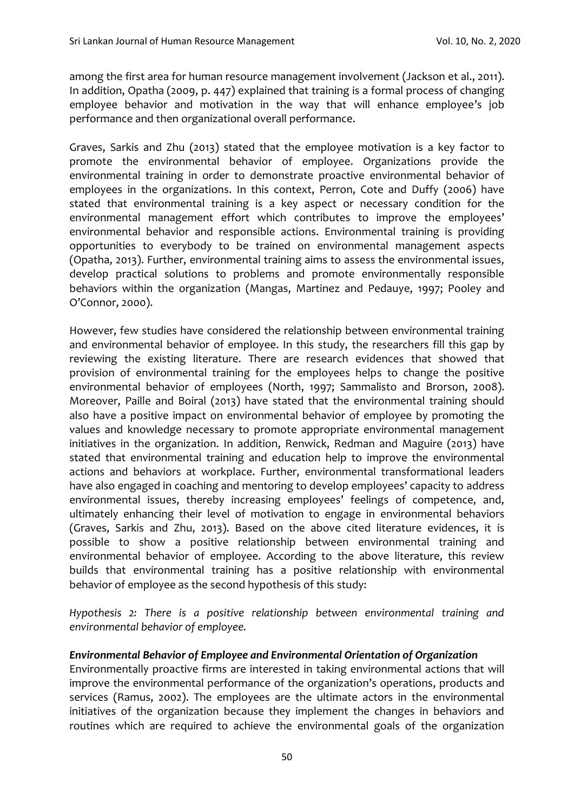among the first area for human resource management involvement (Jackson et al., 2011). In addition, Opatha (2009, p. 447) explained that training is a formal process of changing employee behavior and motivation in the way that will enhance employee's job performance and then organizational overall performance.

Graves, Sarkis and Zhu (2013) stated that the employee motivation is a key factor to promote the environmental behavior of employee. Organizations provide the environmental training in order to demonstrate proactive environmental behavior of employees in the organizations. In this context, Perron, Cote and Duffy (2006) have stated that environmental training is a key aspect or necessary condition for the environmental management effort which contributes to improve the employees' environmental behavior and responsible actions. Environmental training is providing opportunities to everybody to be trained on environmental management aspects (Opatha, 2013). Further, environmental training aims to assess the environmental issues, develop practical solutions to problems and promote environmentally responsible behaviors within the organization (Mangas, Martinez and Pedauye, 1997; Pooley and O'Connor, 2000).

However, few studies have considered the relationship between environmental training and environmental behavior of employee. In this study, the researchers fill this gap by reviewing the existing literature. There are research evidences that showed that provision of environmental training for the employees helps to change the positive environmental behavior of employees (North, 1997; Sammalisto and Brorson, 2008). Moreover, Paille and Boiral (2013) have stated that the environmental training should also have a positive impact on environmental behavior of employee by promoting the values and knowledge necessary to promote appropriate environmental management initiatives in the organization. In addition, Renwick, Redman and Maguire (2013) have stated that environmental training and education help to improve the environmental actions and behaviors at workplace. Further, environmental transformational leaders have also engaged in coaching and mentoring to develop employees' capacity to address environmental issues, thereby increasing employees' feelings of competence, and, ultimately enhancing their level of motivation to engage in environmental behaviors (Graves, Sarkis and Zhu, 2013). Based on the above cited literature evidences, it is possible to show a positive relationship between environmental training and environmental behavior of employee. According to the above literature, this review builds that environmental training has a positive relationship with environmental behavior of employee as the second hypothesis of this study:

*Hypothesis 2: There is a positive relationship between environmental training and environmental behavior of employee.* 

## *Environmental Behavior of Employee and Environmental Orientation of Organization*

Environmentally proactive firms are interested in taking environmental actions that will improve the environmental performance of the organization's operations, products and services (Ramus, 2002). The employees are the ultimate actors in the environmental initiatives of the organization because they implement the changes in behaviors and routines which are required to achieve the environmental goals of the organization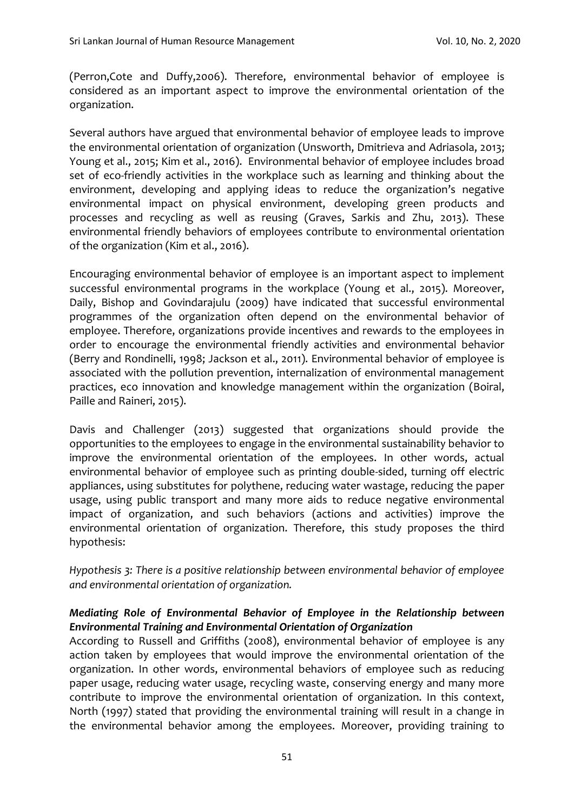(Perron,Cote and Duffy,2006). Therefore, environmental behavior of employee is considered as an important aspect to improve the environmental orientation of the organization.

Several authors have argued that environmental behavior of employee leads to improve the environmental orientation of organization (Unsworth, Dmitrieva and Adriasola, 2013; Young et al., 2015; Kim et al., 2016). Environmental behavior of employee includes broad set of eco-friendly activities in the workplace such as learning and thinking about the environment, developing and applying ideas to reduce the organization's negative environmental impact on physical environment, developing green products and processes and recycling as well as reusing (Graves, Sarkis and Zhu, 2013). These environmental friendly behaviors of employees contribute to environmental orientation of the organization (Kim et al., 2016).

Encouraging environmental behavior of employee is an important aspect to implement successful environmental programs in the workplace (Young et al., 2015). Moreover, Daily, Bishop and Govindarajulu (2009) have indicated that successful environmental programmes of the organization often depend on the environmental behavior of employee. Therefore, organizations provide incentives and rewards to the employees in order to encourage the environmental friendly activities and environmental behavior (Berry and Rondinelli, 1998; Jackson et al., 2011). Environmental behavior of employee is associated with the pollution prevention, internalization of environmental management practices, eco innovation and knowledge management within the organization (Boiral, Paille and Raineri, 2015).

Davis and Challenger (2013) suggested that organizations should provide the opportunities to the employees to engage in the environmental sustainability behavior to improve the environmental orientation of the employees. In other words, actual environmental behavior of employee such as printing double-sided, turning off electric appliances, using substitutes for polythene, reducing water wastage, reducing the paper usage, using public transport and many more aids to reduce negative environmental impact of organization, and such behaviors (actions and activities) improve the environmental orientation of organization. Therefore, this study proposes the third hypothesis:

*Hypothesis 3: There is a positive relationship between environmental behavior of employee and environmental orientation of organization.*

## *Mediating Role of Environmental Behavior of Employee in the Relationship between Environmental Training and Environmental Orientation of Organization*

According to Russell and Griffiths (2008), environmental behavior of employee is any action taken by employees that would improve the environmental orientation of the organization. In other words, environmental behaviors of employee such as reducing paper usage, reducing water usage, recycling waste, conserving energy and many more contribute to improve the environmental orientation of organization. In this context, North (1997) stated that providing the environmental training will result in a change in the environmental behavior among the employees. Moreover, providing training to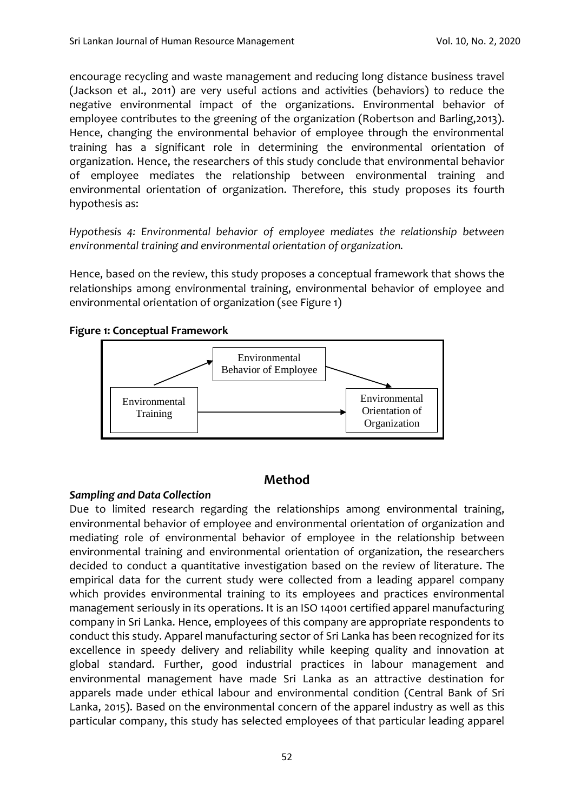encourage recycling and waste management and reducing long distance business travel (Jackson et al., 2011) are very useful actions and activities (behaviors) to reduce the negative environmental impact of the organizations. Environmental behavior of employee contributes to the greening of the organization (Robertson and Barling,2013). Hence, changing the environmental behavior of employee through the environmental training has a significant role in determining the environmental orientation of organization. Hence, the researchers of this study conclude that environmental behavior of employee mediates the relationship between environmental training and environmental orientation of organization. Therefore, this study proposes its fourth hypothesis as:

*Hypothesis 4: Environmental behavior of employee mediates the relationship between environmental training and environmental orientation of organization.*

Hence, based on the review, this study proposes a conceptual framework that shows the relationships among environmental training, environmental behavior of employee and environmental orientation of organization (see Figure 1)

#### **Figure 1: Conceptual Framework**



## **Method**

## *Sampling and Data Collection*

Due to limited research regarding the relationships among environmental training, environmental behavior of employee and environmental orientation of organization and mediating role of environmental behavior of employee in the relationship between environmental training and environmental orientation of organization, the researchers decided to conduct a quantitative investigation based on the review of literature. The empirical data for the current study were collected from a leading apparel company which provides environmental training to its employees and practices environmental management seriously in its operations. It is an ISO 14001 certified apparel manufacturing company in Sri Lanka. Hence, employees of this company are appropriate respondents to conduct this study. Apparel manufacturing sector of Sri Lanka has been recognized for its excellence in speedy delivery and reliability while keeping quality and innovation at global standard. Further, good industrial practices in labour management and environmental management have made Sri Lanka as an attractive destination for apparels made under ethical labour and environmental condition (Central Bank of Sri Lanka, 2015). Based on the environmental concern of the apparel industry as well as this particular company, this study has selected employees of that particular leading apparel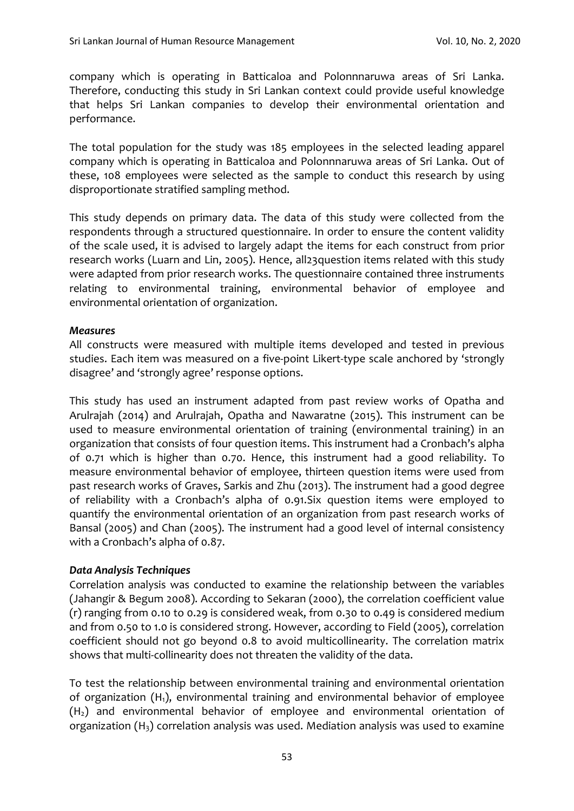company which is operating in Batticaloa and Polonnnaruwa areas of Sri Lanka. Therefore, conducting this study in Sri Lankan context could provide useful knowledge that helps Sri Lankan companies to develop their environmental orientation and performance.

The total population for the study was 185 employees in the selected leading apparel company which is operating in Batticaloa and Polonnnaruwa areas of Sri Lanka. Out of these, 108 employees were selected as the sample to conduct this research by using disproportionate stratified sampling method.

This study depends on primary data. The data of this study were collected from the respondents through a structured questionnaire. In order to ensure the content validity of the scale used, it is advised to largely adapt the items for each construct from prior research works (Luarn and Lin, 2005). Hence, all23question items related with this study were adapted from prior research works. The questionnaire contained three instruments relating to environmental training, environmental behavior of employee and environmental orientation of organization.

#### *Measures*

All constructs were measured with multiple items developed and tested in previous studies. Each item was measured on a five-point Likert-type scale anchored by 'strongly disagree' and 'strongly agree' response options.

This study has used an instrument adapted from past review works of Opatha and Arulrajah (2014) and Arulrajah, Opatha and Nawaratne (2015). This instrument can be used to measure environmental orientation of training (environmental training) in an organization that consists of four question items. This instrument had a Cronbach's alpha of 0.71 which is higher than 0.70. Hence, this instrument had a good reliability. To measure environmental behavior of employee, thirteen question items were used from past research works of Graves, Sarkis and Zhu (2013). The instrument had a good degree of reliability with a Cronbach's alpha of 0.91.Six question items were employed to quantify the environmental orientation of an organization from past research works of Bansal (2005) and Chan (2005). The instrument had a good level of internal consistency with a Cronbach's alpha of 0.87.

#### *Data Analysis Techniques*

Correlation analysis was conducted to examine the relationship between the variables (Jahangir & Begum 2008). According to Sekaran (2000), the correlation coefficient value (r) ranging from 0.10 to 0.29 is considered weak, from 0.30 to 0.49 is considered medium and from 0.50 to 1.0 is considered strong. However, according to Field (2005), correlation coefficient should not go beyond 0.8 to avoid multicollinearity. The correlation matrix shows that multi-collinearity does not threaten the validity of the data.

To test the relationship between environmental training and environmental orientation of organization (H1), environmental training and environmental behavior of employee  $(H<sub>2</sub>)$  and environmental behavior of employee and environmental orientation of organization  $(H_3)$  correlation analysis was used. Mediation analysis was used to examine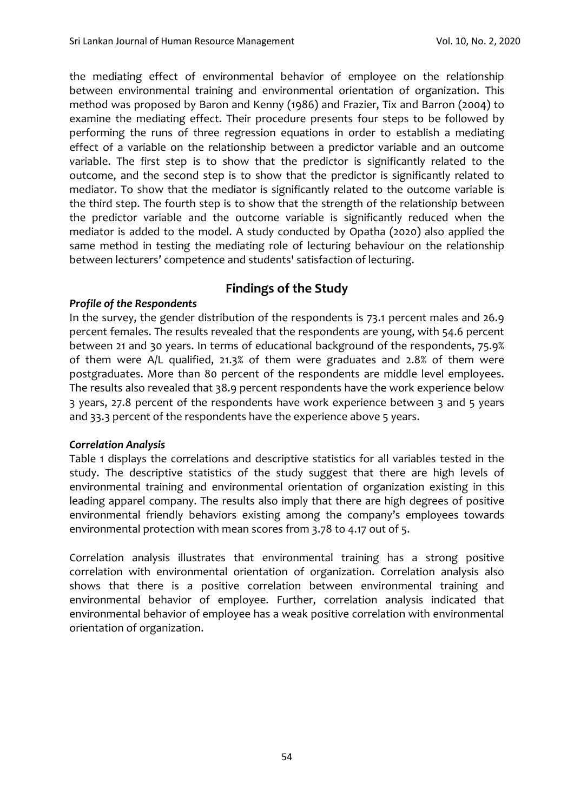the mediating effect of environmental behavior of employee on the relationship between environmental training and environmental orientation of organization. This method was proposed by Baron and Kenny (1986) and Frazier, Tix and Barron (2004) to examine the mediating effect. Their procedure presents four steps to be followed by performing the runs of three regression equations in order to establish a mediating effect of a variable on the relationship between a predictor variable and an outcome variable. The first step is to show that the predictor is significantly related to the outcome, and the second step is to show that the predictor is significantly related to mediator. To show that the mediator is significantly related to the outcome variable is the third step. The fourth step is to show that the strength of the relationship between the predictor variable and the outcome variable is significantly reduced when the mediator is added to the model. A study conducted by Opatha (2020) also applied the same method in testing the mediating role of lecturing behaviour on the relationship between lecturers' competence and students' satisfaction of lecturing.

## **Findings of the Study**

## *Profile of the Respondents*

In the survey, the gender distribution of the respondents is 73.1 percent males and 26.9 percent females. The results revealed that the respondents are young, with 54.6 percent between 21 and 30 years. In terms of educational background of the respondents, 75.9% of them were A/L qualified, 21.3% of them were graduates and 2.8% of them were postgraduates. More than 80 percent of the respondents are middle level employees. The results also revealed that 38.9 percent respondents have the work experience below 3 years, 27.8 percent of the respondents have work experience between 3 and 5 years and 33.3 percent of the respondents have the experience above 5 years.

## *Correlation Analysis*

Table 1 displays the correlations and descriptive statistics for all variables tested in the study. The descriptive statistics of the study suggest that there are high levels of environmental training and environmental orientation of organization existing in this leading apparel company. The results also imply that there are high degrees of positive environmental friendly behaviors existing among the company's employees towards environmental protection with mean scores from 3.78 to 4.17 out of 5.

Correlation analysis illustrates that environmental training has a strong positive correlation with environmental orientation of organization. Correlation analysis also shows that there is a positive correlation between environmental training and environmental behavior of employee. Further, correlation analysis indicated that environmental behavior of employee has a weak positive correlation with environmental orientation of organization.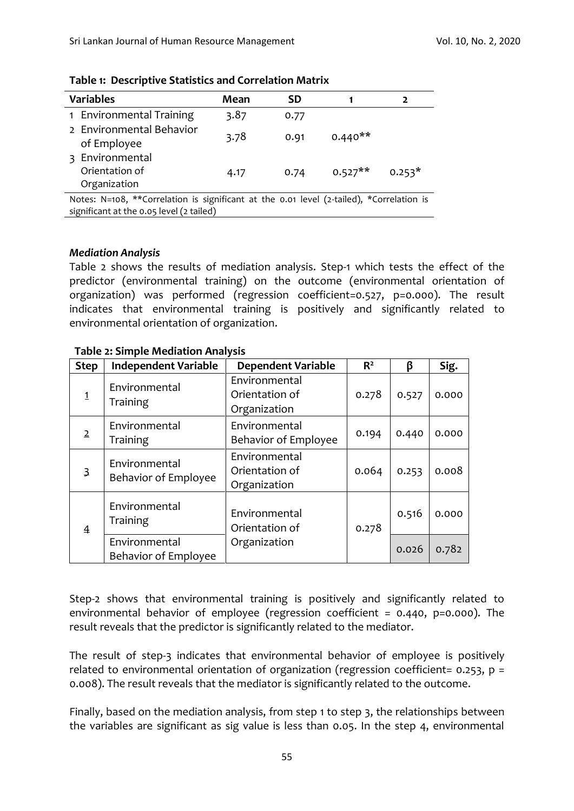| <b>Variables</b>                                                                                                                     | Mean | <b>SD</b> |           |          |  |  |
|--------------------------------------------------------------------------------------------------------------------------------------|------|-----------|-----------|----------|--|--|
| 1 Environmental Training                                                                                                             | 3.87 | 0.77      |           |          |  |  |
| 2 Environmental Behavior<br>of Employee                                                                                              | 3.78 | 0.91      | $0.440**$ |          |  |  |
| Environmental<br>₹<br>Orientation of<br>Organization                                                                                 | 4.17 | 0.74      | $0.527**$ | $0.253*$ |  |  |
| Notes: N=108, **Correlation is significant at the 0.01 level (2-tailed), *Correlation is<br>significant at the 0.05 level (2 tailed) |      |           |           |          |  |  |

**Table 1: Descriptive Statistics and Correlation Matrix** 

#### *Mediation Analysis*

Table 2 shows the results of mediation analysis. Step-1 which tests the effect of the predictor (environmental training) on the outcome (environmental orientation of organization) was performed (regression coefficient=0.527, p=0.000). The result indicates that environmental training is positively and significantly related to environmental orientation of organization.

| <b>Step</b>    | <b>Independent Variable</b>           | <b>Dependent Variable</b>                       | R <sup>2</sup> | β     | Sig.  |
|----------------|---------------------------------------|-------------------------------------------------|----------------|-------|-------|
| $\mathbf{1}$   | Environmental<br>Training             | Environmental<br>Orientation of<br>Organization | 0.278          | 0.527 | 0.000 |
| $\overline{2}$ | Environmental<br>Training             | Environmental<br><b>Behavior of Employee</b>    | 0.194          | 0.440 | 0.000 |
| $\overline{3}$ | Environmental<br>Behavior of Employee | Environmental<br>Orientation of<br>Organization | 0.064          | 0.253 | 0.008 |
| $\overline{4}$ | Environmental<br>Training             | Environmental<br>Orientation of                 | 0.278          | 0.516 | 0.000 |
|                | Environmental<br>Behavior of Employee | Organization                                    |                | 0.026 | 0.782 |

#### **Table 2: Simple Mediation Analysis**

Step-2 shows that environmental training is positively and significantly related to environmental behavior of employee (regression coefficient = 0.440, p=0.000). The result reveals that the predictor is significantly related to the mediator.

The result of step-3 indicates that environmental behavior of employee is positively related to environmental orientation of organization (regression coefficient=  $0.253$ ,  $p =$ 0.008). The result reveals that the mediator is significantly related to the outcome.

Finally, based on the mediation analysis, from step 1 to step 3, the relationships between the variables are significant as sig value is less than 0.05. In the step 4, environmental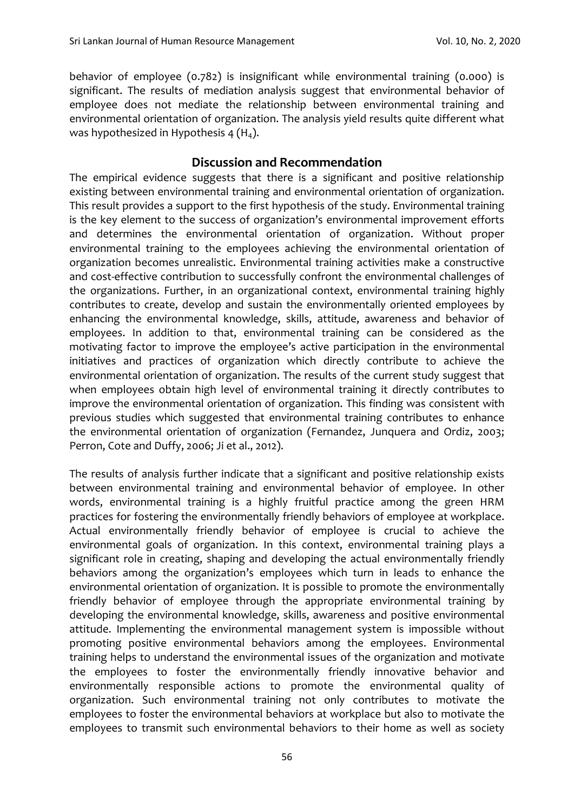behavior of employee (0.782) is insignificant while environmental training (0.000) is significant. The results of mediation analysis suggest that environmental behavior of employee does not mediate the relationship between environmental training and environmental orientation of organization. The analysis yield results quite different what was hypothesized in Hypothesis 4  $(H<sub>4</sub>)$ .

## **Discussion and Recommendation**

The empirical evidence suggests that there is a significant and positive relationship existing between environmental training and environmental orientation of organization. This result provides a support to the first hypothesis of the study. Environmental training is the key element to the success of organization's environmental improvement efforts and determines the environmental orientation of organization. Without proper environmental training to the employees achieving the environmental orientation of organization becomes unrealistic. Environmental training activities make a constructive and cost-effective contribution to successfully confront the environmental challenges of the organizations. Further, in an organizational context, environmental training highly contributes to create, develop and sustain the environmentally oriented employees by enhancing the environmental knowledge, skills, attitude, awareness and behavior of employees. In addition to that, environmental training can be considered as the motivating factor to improve the employee's active participation in the environmental initiatives and practices of organization which directly contribute to achieve the environmental orientation of organization. The results of the current study suggest that when employees obtain high level of environmental training it directly contributes to improve the environmental orientation of organization. This finding was consistent with previous studies which suggested that environmental training contributes to enhance the environmental orientation of organization (Fernandez, Junquera and Ordiz, 2003; Perron, Cote and Duffy, 2006; Ji et al., 2012).

The results of analysis further indicate that a significant and positive relationship exists between environmental training and environmental behavior of employee. In other words, environmental training is a highly fruitful practice among the green HRM practices for fostering the environmentally friendly behaviors of employee at workplace. Actual environmentally friendly behavior of employee is crucial to achieve the environmental goals of organization. In this context, environmental training plays a significant role in creating, shaping and developing the actual environmentally friendly behaviors among the organization's employees which turn in leads to enhance the environmental orientation of organization. It is possible to promote the environmentally friendly behavior of employee through the appropriate environmental training by developing the environmental knowledge, skills, awareness and positive environmental attitude. Implementing the environmental management system is impossible without promoting positive environmental behaviors among the employees. Environmental training helps to understand the environmental issues of the organization and motivate the employees to foster the environmentally friendly innovative behavior and environmentally responsible actions to promote the environmental quality of organization. Such environmental training not only contributes to motivate the employees to foster the environmental behaviors at workplace but also to motivate the employees to transmit such environmental behaviors to their home as well as society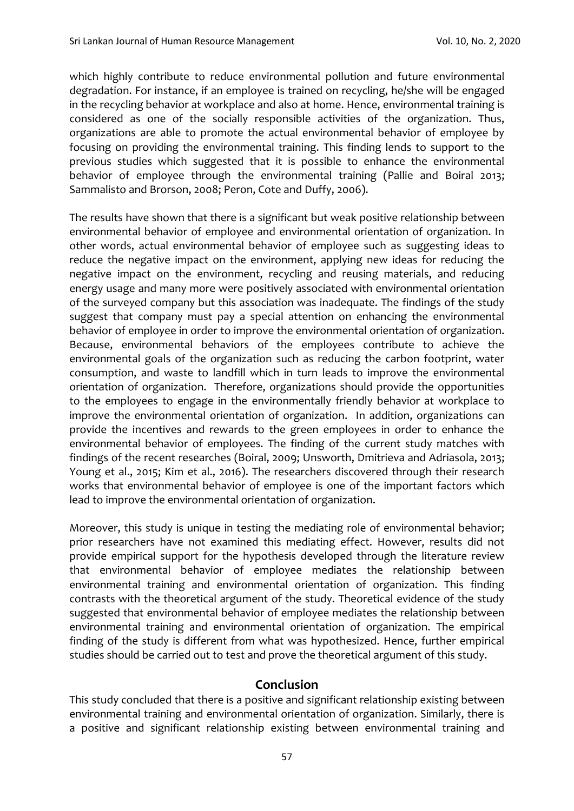which highly contribute to reduce environmental pollution and future environmental degradation. For instance, if an employee is trained on recycling, he/she will be engaged in the recycling behavior at workplace and also at home. Hence, environmental training is considered as one of the socially responsible activities of the organization. Thus, organizations are able to promote the actual environmental behavior of employee by focusing on providing the environmental training. This finding lends to support to the previous studies which suggested that it is possible to enhance the environmental behavior of employee through the environmental training (Pallie and Boiral 2013; Sammalisto and Brorson, 2008; Peron, Cote and Duffy, 2006).

The results have shown that there is a significant but weak positive relationship between environmental behavior of employee and environmental orientation of organization. In other words, actual environmental behavior of employee such as suggesting ideas to reduce the negative impact on the environment, applying new ideas for reducing the negative impact on the environment, recycling and reusing materials, and reducing energy usage and many more were positively associated with environmental orientation of the surveyed company but this association was inadequate. The findings of the study suggest that company must pay a special attention on enhancing the environmental behavior of employee in order to improve the environmental orientation of organization. Because, environmental behaviors of the employees contribute to achieve the environmental goals of the organization such as reducing the carbon footprint, water consumption, and waste to landfill which in turn leads to improve the environmental orientation of organization. Therefore, organizations should provide the opportunities to the employees to engage in the environmentally friendly behavior at workplace to improve the environmental orientation of organization. In addition, organizations can provide the incentives and rewards to the green employees in order to enhance the environmental behavior of employees. The finding of the current study matches with findings of the recent researches (Boiral, 2009; Unsworth, Dmitrieva and Adriasola, 2013; Young et al., 2015; Kim et al., 2016). The researchers discovered through their research works that environmental behavior of employee is one of the important factors which lead to improve the environmental orientation of organization.

Moreover, this study is unique in testing the mediating role of environmental behavior; prior researchers have not examined this mediating effect. However, results did not provide empirical support for the hypothesis developed through the literature review that environmental behavior of employee mediates the relationship between environmental training and environmental orientation of organization. This finding contrasts with the theoretical argument of the study. Theoretical evidence of the study suggested that environmental behavior of employee mediates the relationship between environmental training and environmental orientation of organization. The empirical finding of the study is different from what was hypothesized. Hence, further empirical studies should be carried out to test and prove the theoretical argument of this study.

## **Conclusion**

This study concluded that there is a positive and significant relationship existing between environmental training and environmental orientation of organization. Similarly, there is a positive and significant relationship existing between environmental training and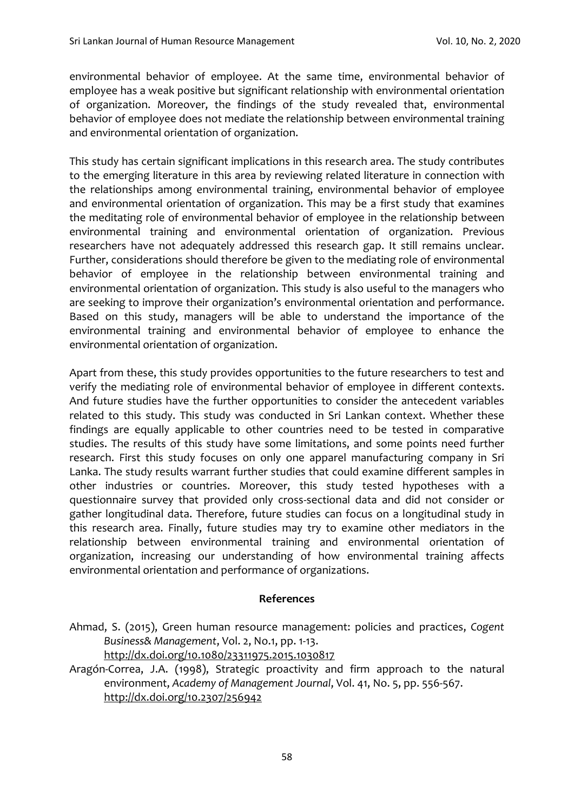environmental behavior of employee. At the same time, environmental behavior of employee has a weak positive but significant relationship with environmental orientation of organization. Moreover, the findings of the study revealed that, environmental behavior of employee does not mediate the relationship between environmental training and environmental orientation of organization.

This study has certain significant implications in this research area. The study contributes to the emerging literature in this area by reviewing related literature in connection with the relationships among environmental training, environmental behavior of employee and environmental orientation of organization. This may be a first study that examines the meditating role of environmental behavior of employee in the relationship between environmental training and environmental orientation of organization. Previous researchers have not adequately addressed this research gap. It still remains unclear. Further, considerations should therefore be given to the mediating role of environmental behavior of employee in the relationship between environmental training and environmental orientation of organization. This study is also useful to the managers who are seeking to improve their organization's environmental orientation and performance. Based on this study, managers will be able to understand the importance of the environmental training and environmental behavior of employee to enhance the environmental orientation of organization.

Apart from these, this study provides opportunities to the future researchers to test and verify the mediating role of environmental behavior of employee in different contexts. And future studies have the further opportunities to consider the antecedent variables related to this study. This study was conducted in Sri Lankan context. Whether these findings are equally applicable to other countries need to be tested in comparative studies. The results of this study have some limitations, and some points need further research. First this study focuses on only one apparel manufacturing company in Sri Lanka. The study results warrant further studies that could examine different samples in other industries or countries. Moreover, this study tested hypotheses with a questionnaire survey that provided only cross-sectional data and did not consider or gather longitudinal data. Therefore, future studies can focus on a longitudinal study in this research area. Finally, future studies may try to examine other mediators in the relationship between environmental training and environmental orientation of organization, increasing our understanding of how environmental training affects environmental orientation and performance of organizations.

#### **References**

- Ahmad, S. (2015), Green human resource management: policies and practices, *Cogent Business& Management*, Vol. 2, No.1, pp. 1-13. <http://dx.doi.org/10.1080/23311975.2015.1030817>
- Aragón-Correa, J.A. (1998), Strategic proactivity and firm approach to the natural environment, *Academy of Management Journal*, Vol. 41, No. 5, pp. 556-567. <http://dx.doi.org/10.2307/256942>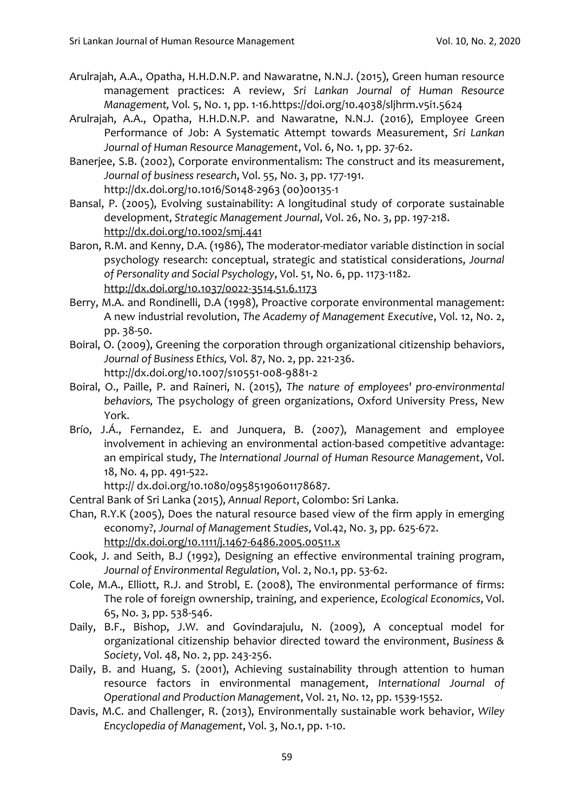- Arulrajah, A.A., Opatha, H.H.D.N.P. and Nawaratne, N.N.J. (2015), Green human resource management practices: A review, *Sri Lankan Journal of Human Resource Management,* Vol*.* 5, No. 1, pp. 1-16[.https://doi.org/10.4038/sljhrm.v5i1.5624](https://doi.org/10.4038/sljhrm.v5i1.5624)
- Arulrajah, A.A., Opatha, H.H.D.N.P. and Nawaratne, N.N.J. (2016), Employee Green Performance of Job: A Systematic Attempt towards Measurement, *Sri Lankan Journal of Human Resource Management*, Vol. 6, No. 1, pp. 37-62.
- Banerjee, S.B. (2002), Corporate environmentalism: The construct and its measurement, *Journal of business research*, Vol. 55, No. 3, pp. 177-191. http://dx.doi.org/10.1016/S0148-2963 (00)00135-1
- Bansal, P. (2005), Evolving sustainability: A longitudinal study of corporate sustainable development, *Strategic Management Journal*, Vol. 26, No. 3, pp. 197-218. <http://dx.doi.org/10.1002/smj.441>
- Baron, R.M. and Kenny, D.A. (1986), The moderator-mediator variable distinction in social psychology research: conceptual, strategic and statistical considerations, *Journal of Personality and Social Psychology*, Vol. 51, No. 6, pp. 1173-1182. [http://dx.doi.org/10.1037/0022-3514.51.6.1173](http://psycnet.apa.org/doi/10.1037/0022-3514.51.6.1173)
- Berry, M.A. and Rondinelli, D.A (1998), Proactive corporate environmental management: A new industrial revolution, *The Academy of Management Executive*, Vol. 12, No. 2, pp. 38-50.
- Boiral, O. (2009), Greening the corporation through organizational citizenship behaviors, *Journal of Business Ethics,* Vol. 87, No. 2, pp. 221-236. http://dx.doi.org/10.1007/s10551-008-9881-2
- Boiral, O., Paille, P. and Raineri, N. (2015), *The nature of employees' pro-environmental behaviors,* The psychology of green organizations, Oxford University Press, New York.
- Brío, J.Á., Fernandez, E. and Junquera, B. (2007), Management and employee involvement in achieving an environmental action-based competitive advantage: an empirical study, *The International Journal of Human Resource Management*, Vol. 18, No. 4, pp. 491-522.

http:// dx.doi.org/10.1080/09585190601178687.

Central Bank of Sri Lanka (2015), *Annual Report*, Colombo: Sri Lanka.

- Chan, R.Y.K (2005), Does the natural resource based view of the firm apply in emerging economy?, *Journal of Management Studies*, Vol.42, No. 3, pp. 625-672. <http://dx.doi.org/10.1111/j.1467-6486.2005.00511.x>
- Cook, J. and Seith, B.J (1992), Designing an effective environmental training program, *Journal of Environmental Regulation*, Vol. 2, No.1, pp. 53-62.
- Cole, M.A., Elliott, R.J. and Strobl, E. (2008), The environmental performance of firms: The role of foreign ownership, training, and experience, *Ecological Economics*, Vol. 65, No. 3, pp. 538-546.
- Daily, B.F., Bishop, J.W. and Govindarajulu, N. (2009), A conceptual model for organizational citizenship behavior directed toward the environment, *Business & Society*, Vol. 48, No. 2, pp. 243-256.
- Daily, B. and Huang, S. (2001), Achieving sustainability through attention to human resource factors in environmental management, *International Journal of Operational and Production Management*, Vol. 21, No. 12, pp. 1539-1552.
- Davis, M.C. and Challenger, R. (2013), Environmentally sustainable work behavior, *Wiley Encyclopedia of Management*, Vol. 3, No.1, pp. 1-10.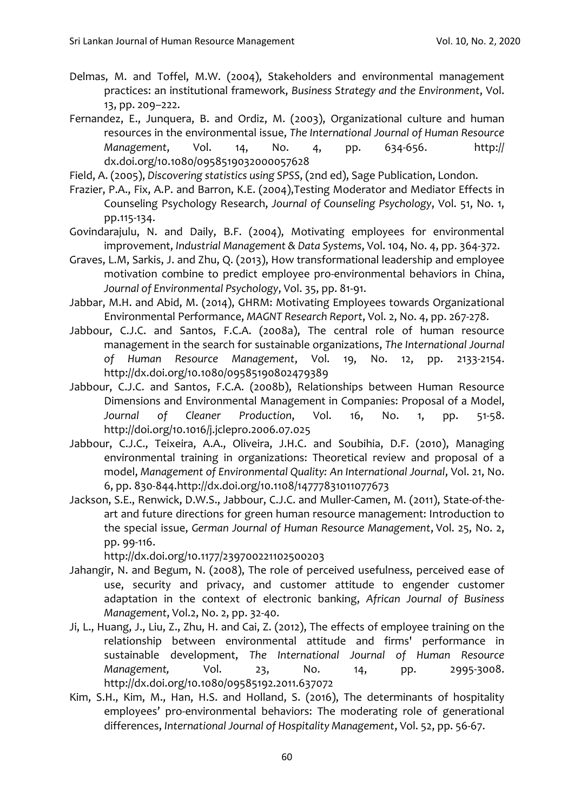- Delmas, M. and Toffel, M.W. (2004), Stakeholders and environmental management practices: an institutional framework, *Business Strategy and the Environment*, Vol. 13, pp. 209–222.
- Fernandez, E., Junquera, B. and Ordiz, M. (2003), Organizational culture and human resources in the environmental issue, *The International Journal of Human Resource Management*, Vol. 14, No. 4, pp. 634-656. http:// dx.doi.org/10.1080/0958519032000057628
- Field, A. (2005), *Discovering statistics using SPSS*, (2nd ed), Sage Publication, London.
- Frazier, P.A., Fix, A.P. and Barron, K.E. (2004),Testing Moderator and Mediator Effects in Counseling Psychology Research, *Journal of Counseling Psychology*, Vol. 51, No. 1, pp.115-134.
- Govindarajulu, N. and Daily, B.F. (2004), Motivating employees for environmental improvement, *Industrial Management & Data Systems*, Vol. 104, No. 4, pp. 364-372.
- Graves, L.M, Sarkis, J. and Zhu, Q. (2013), How transformational leadership and employee motivation combine to predict employee pro-environmental behaviors in China, *Journal of Environmental Psychology*, Vol. 35, pp. 81-91.
- Jabbar, M.H. and Abid, M. (2014), GHRM: Motivating Employees towards Organizational Environmental Performance, *MAGNT Research Report*, Vol. 2, No. 4, pp. 267-278.
- Jabbour, C.J.C. and Santos, F.C.A. (2008a), The central role of human resource management in the search for sustainable organizations, *The International Journal of Human Resource Management*, Vol. 19, No. 12, pp. 2133-2154. <http://dx.doi.org/10.1080/09585190802479389>
- Jabbour, C.J.C. and Santos, F.C.A. (2008b), Relationships between Human Resource Dimensions and Environmental Management in Companies: Proposal of a Model, *Journal of Cleaner Production*, Vol. 16, No. 1, pp. 51-58. http://doi.org/10.1016/j.jclepro.2006.07.025
- Jabbour, C.J.C., Teixeira, A.A., Oliveira, J.H.C. and Soubihia, D.F. (2010), Managing environmental training in organizations: Theoretical review and proposal of a model, *Management of Environmental Quality: An International Journal*, Vol. 21, No. 6, pp. 830-844.http://dx.doi.org/10.1108/14777831011077673
- Jackson, S.E., Renwick, D.W.S., Jabbour, C.J.C. and Muller-Camen, M. (2011), State-of-theart and future directions for green human resource management: Introduction to the special issue, *German Journal of Human Resource Management*, Vol. 25, No. 2, pp. 99-116.
	- <http://dx.doi.org/10.1177/239700221102500203>
- Jahangir, N. and Begum, N. (2008), The role of perceived usefulness, perceived ease of use, security and privacy, and customer attitude to engender customer adaptation in the context of electronic banking, *African Journal of Business Management*, Vol.2, No. 2, pp. 32-40.
- Ji, L., Huang, J., Liu, Z., Zhu, H. and Cai, Z. (2012), The effects of employee training on the relationship between environmental attitude and firms' performance in sustainable development, *The International Journal of Human Resource Management,* Vol. 23, No. 14, pp. 2995-3008. <http://dx.doi.org/10.1080/09585192.2011.637072>
- Kim, S.H., Kim, M., Han, H.S. and Holland, S. (2016), The determinants of hospitality employees' pro-environmental behaviors: The moderating role of generational differences, *International Journal of Hospitality Management*, Vol. 52, pp. 56-67.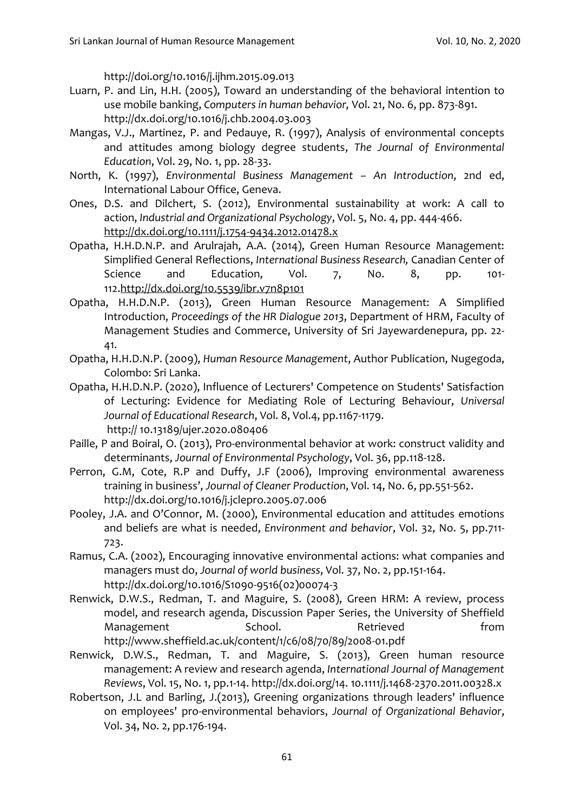http://doi.org/10.1016/j.ijhm.2015.09.013

- Luarn, P. and Lin, H.H. (2005), Toward an understanding of the behavioral intention to use mobile banking, *Computers in human behavior,* Vol. 21, No. 6, pp. 873-891. <http://dx.doi.org/10.1016/j.chb.2004.03.003>
- Mangas, V.J., Martinez, P. and Pedauye, R. (1997), Analysis of environmental concepts and attitudes among biology degree students, *The Journal of Environmental Education*, Vol. 29, No. 1, pp. 28-33.
- North, K. (1997), *Environmental Business Management – An Introduction*, 2nd ed, International Labour Office, Geneva.
- Ones, D.S. and Dilchert, S. (2012), Environmental sustainability at work: A call to action, *Industrial and Organizational Psychology*, Vol. 5, No. 4, pp. 444-466. <http://dx.doi.org/10.1111/j.1754-9434.2012.01478.x>
- Opatha, H.H.D.N.P. and Arulrajah, A.A. (2014), Green Human Resource Management: Simplified General Reflections, *International Business Research,* Canadian Center of Science and Education, Vol. 7, No. 8, pp. 101-112[.http://dx.doi.org/10.5539/ibr.v7n8p101](http://dx.doi.org/10.5539/ibr.v7n8p101)
- Opatha, H.H.D.N.P. (2013), Green Human Resource Management: A Simplified Introduction, *Proceedings of the HR Dialogue 2013*, Department of HRM, Faculty of Management Studies and Commerce, University of Sri Jayewardenepura, pp. 22- 41.
- Opatha, H.H.D.N.P. (2009), *Human Resource Management*, Author Publication, Nugegoda, Colombo: Sri Lanka.
- Opatha, H.H.D.N.P. (2020), Influence of Lecturers' Competence on Students' Satisfaction of Lecturing: Evidence for Mediating Role of Lecturing Behaviour, *Universal Journal of Educational Research*, Vol. 8, Vol.4, pp.1167-1179. http:// 10.13189/ujer.2020.080406
- Paille, P and Boiral, O. (2013), Pro-environmental behavior at work: construct validity and determinants, *Journal of Environmental Psychology*, Vol. 36, pp.118-128.
- Perron, G.M, Cote, R.P and Duffy, J.F (2006), Improving environmental awareness training in business', *Journal of Cleaner Production*, Vol. 14, No. 6, pp.551-562. <http://dx.doi.org/10.1016/j.jclepro.2005.07.006>
- Pooley, J.A. and O'Connor, M. (2000), Environmental education and attitudes emotions and beliefs are what is needed, *Environment and behavior*, Vol. 32, No. 5, pp.711- 723.
- Ramus, C.A. (2002), Encouraging innovative environmental actions: what companies and managers must do, *Journal of world business*, Vol. 37, No. 2, pp.151-164. [http://dx.doi.org/10.1016/S1090-9516\(02\)00074-3](http://dx.doi.org/10.1016/S1090-9516(02)00074-3)
- Renwick, D.W.S., Redman, T. and Maguire, S. (2008), Green HRM: A review, process model, and research agenda, Discussion Paper Series, the University of Sheffield Management School. Retrieved from http://www.sheffield.ac.uk/content/1/c6/08/70/89/2008-01.pdf
- Renwick, D.W.S., Redman, T. and Maguire, S. (2013), Green human resource management: A review and research agenda, *International Journal of Management Reviews*, Vol. 15, No. 1, pp.1-14. http://dx.doi.org/14. 10.1111/j.1468-2370.2011.00328.x
- Robertson, J.L and Barling, J.(2013), Greening organizations through leaders' influence on employees' pro‐environmental behaviors, *Journal of Organizational Behavior*, Vol. 34, No. 2, pp.176-194.